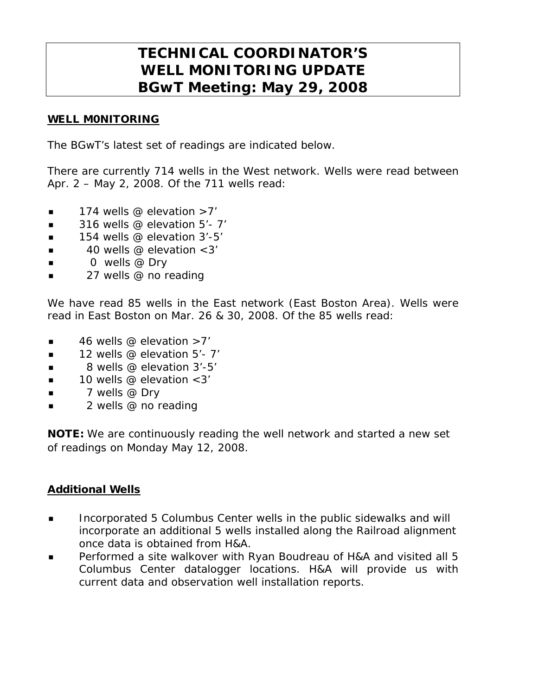# **TECHNICAL COORDINATOR'S WELL MONITORING UPDATE BGwT Meeting: May 29, 2008**

## WELL M0NITORING

The BGwT's latest set of readings are indicated below.

There are currently 714 wells in the West network. Wells were read between Apr. 2 – May 2, 2008. Of the 711 wells read:

- $\blacksquare$  174 wells @ elevation >7'
- $\blacksquare$  316 wells @ elevation 5'-7'
- $\blacksquare$  154 wells @ elevation 3'-5'
- $\blacksquare$  40 wells @ elevation < 3'
- $\Box$  0 wells @ Dry
- 27 wells @ no reading

We have read 85 wells in the East network (East Boston Area). Wells were read in East Boston on Mar. 26 & 30, 2008. Of the 85 wells read:

- $\blacksquare$  46 wells @ elevation >7'
- $\blacksquare$  12 wells @ elevation 5'- 7'
- $\blacksquare$  8 wells @ elevation 3'-5'
- $\blacksquare$  10 wells @ elevation <3'
- $\blacksquare$  7 wells @ Dry
- 2 wells @ no reading

NOTE: We are continuously reading the well network and started a new set of readings on Monday May 12, 2008.

### Additional Wells

- **Incorporated 5 Columbus Center wells in the public sidewalks and will** incorporate an additional 5 wells installed along the Railroad alignment once data is obtained from H&A.
- **Performed a site walkover with Ryan Boudreau of H&A and visited all 5** Columbus Center datalogger locations. H&A will provide us with current data and observation well installation reports.